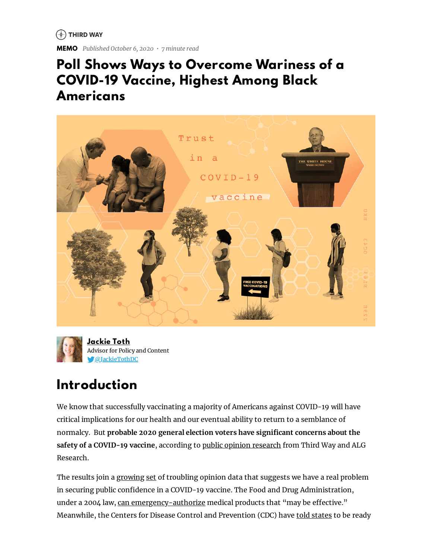$(*)$  THIRD WAY

**MEMO** *Published October 6, 2020 • 7 minute read*

### **Poll Shows Ways to Overcome Wariness of a COVID-19 Vaccine, Highest Among Black Americans**





### **Introduction**

We know that successfully vaccinating a majority of Americans against COVID-19 will have critical implications for our health and our eventual ability to return to a semblance of normalcy. But **probable 2020 general election voters have signicant concerns about the safety of a COVID-19 vaccine**, according to public opinion [research](http://thirdway.imgix.net/August-2020-Trust-In-Science-Poll.pdf) from Third Way and ALG Research.

The results join a [growing](https://www.axios.com/axios-ipsos-poll-coronavirus-index-vaccine-doubts-e9205f29-8c18-4980-b920-a25b81eebd84.html) [set](https://www.washingtonpost.com/nation/2020/09/10/coronavirus-covid-live-updates-us/) of troubling opinion data that suggests we have a real problem in securing public confidence in a COVID-19 vaccine. The Food and Drug Administration, under a 2004 law, can [emergency-authorize](https://www.fda.gov/regulatory-information/search-fda-guidance-documents/emergency-use-authorization-medical-products-and-related-authorities) medical products that "may be effective." Meanwhile, the Centers for Disease Control and Prevention (CDC) have told [states](https://www.nytimes.com/2020/09/02/health/covid-19-vaccine-cdc-plans.html) to be ready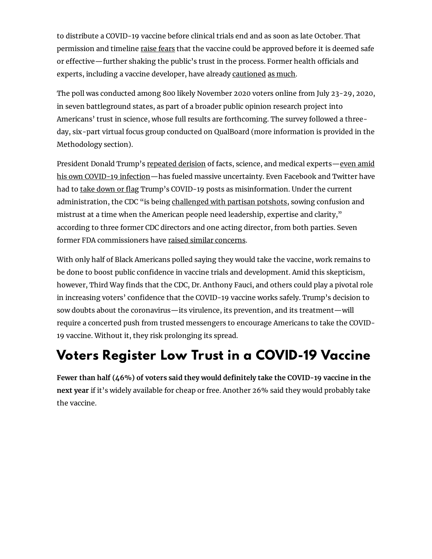to distribute a COVID-19 vaccine before clinical trials end and as soon as late October. That permission and timeline raise [fears](https://www.washingtonpost.com/health/2020/09/02/fda-coronavirus-vaccine-emergency-authority/) that the vaccine could be approved before it is deemed safe or effective—further shaking the public's trust in the process. Former health officials and experts, including a vaccine developer, have already [cautioned](https://www.nytimes.com/2020/09/17/opinion/coronavirus-vaccine.html) as [much](https://www.nytimes.com/2020/06/08/opinion/trump-coronavirus-vaccine.html).

The poll was conducted among 800 likely November 2020 voters online from July 23-29, 2020, in seven battleground states, as part of a broader public opinion research project into Americans' trust in science, whose full results are forthcoming. The survey followed a threeday, six-part virtual focus group conducted on QualBoard (more information is provided in the Methodology section).

President Donald Trump's [repeated](https://apnews.com/30b35bfadcc9e827c81986e86ced4b15) derision of facts, science, and medical experts—even amid his own COVID-19 [infection—has](https://thehill.com/homenews/administration/519740-trump-tells-americans-dont-let-coronavirus-dominate-you-following-his) fueled massive uncertainty. Even Facebook and Twitter have had to take [down](https://www.washingtonpost.com/technology/2020/08/05/trump-post-removed-facebook/) or flag Trump's COVID-19 posts as misinformation. Under the current administration, the CDC "is being [challenged](https://www.washingtonpost.com/outlook/2020/07/14/cdc-directors-trump-politics/) with partisan potshots, sowing confusion and mistrust at a time when the American people need leadership, expertise and clarity," according to three former CDC directors and one acting director, from both parties. Seven former FDA commissioners have raised similar [concerns](https://www.washingtonpost.com/opinions/2020/09/29/former-fda-commissioners-coronavirus-vaccine-trump/).

With only half of Black Americans polled saying they would take the vaccine, work remains to be done to boost public confidence in vaccine trials and development. Amid this skepticism, however, Third Way finds that the CDC, Dr. Anthony Fauci, and others could play a pivotal role in increasing voters' confidence that the COVID-19 vaccine works safely. Trump's decision to sow doubts about the coronavirus—its virulence, its prevention, and its treatment—will require a concerted push from trusted messengers to encourage Americans to take the COVID-19 vaccine. Without it, they risk prolonging its spread.

### **Voters Register Low Trust in a COVID-19 Vaccine**

**Fewer than half (46%) of voters said they would denitely take the COVID-19 vaccine in the next year** if it's widely available for cheap or free. Another 26% said they would probably take the vaccine.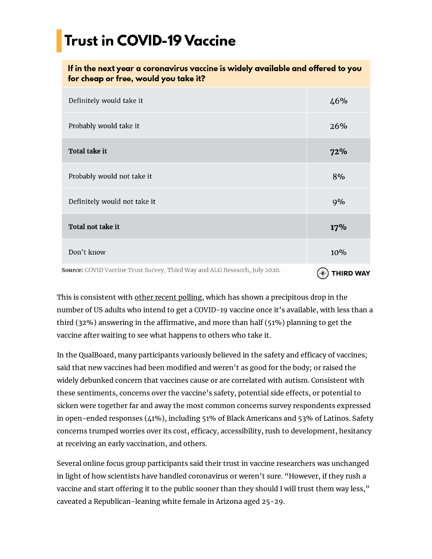# **Trust in COVID-19 Vaccine**

#### If in the next year a coronavirus vaccine is widely available and offered to you for cheap or free, would you take it?

| Definitely would take it                                                   | 46%              |
|----------------------------------------------------------------------------|------------------|
| Probably would take it                                                     | 26%              |
| <b>Total take it</b>                                                       | 72%              |
| Probably would not take it                                                 | 8%               |
| Definitely would not take it                                               | 9%               |
| Total not take it                                                          | 17%              |
| Don't know                                                                 | 10%              |
| Source: COVID Vaccine Trust Survey, Third Way and ALG Research, July 2020. | <b>THIRD WAY</b> |

This is consistent with other recent [polling](https://docs.cdn.yougov.com/c97p828als/20200911_yahoo_coronavirus_crosstabs.pdf), which has shown a precipitous drop in the number of US adults who intend to get a COVID-19 vaccine once it's available, with less than a third  $(32\%)$  answering in the affirmative, and more than half  $(51\%)$  planning to get the vaccine after waiting to see what happens to others who take it.

In the QualBoard, many participants variously believed in the safety and efficacy of vaccines; said that new vaccines had been modified and weren't as good for the body; or raised the widely debunked concern that vaccines cause or are correlated with autism. Consistent with these sentiments, concerns over the vaccine's safety, potential side effects, or potential to sicken were together far and away the most common concerns survey respondents expressed in open-ended responses (41%), including 51% of Black Americans and 53% of Latinos. Safety concerns trumped worries over its cost, efficacy, accessibility, rush to development, hesitancy at receiving an early vaccination, and others.

Several online focus group participants said their trust in vaccine researchers was unchanged in light of how scientists have handled coronavirus or weren't sure. "However, if they rush a vaccine and start offering it to the public sooner than they should I will trust them way less," caveated a Republican-leaning white female in Arizona aged 25-29.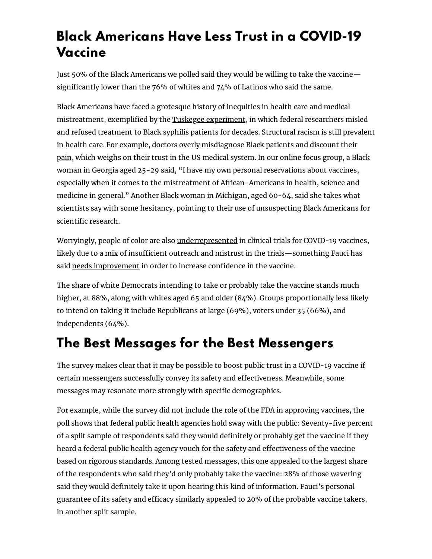### **Black Americans Have Less Trust in a COVID-19 Vaccine**

Just 50% of the Black Americans we polled said they would be willing to take the vaccine significantly lower than the 76% of whites and  $74\%$  of Latinos who said the same.

Black Americans have faced a grotesque history of inequities in health care and medical mistreatment, exemplified by the Tuskegee [experiment](https://www.history.com/news/the-infamous-40-year-tuskegee-study), in which federal researchers misled and refused treatment to Black syphilis patients for decades. Structural racism is still prevalent in health care. For example, doctors overly [m](https://www.nytimes.com/interactive/2019/08/14/magazine/racial-differences-doctors.html)[isdiagnos](https://www.healthline.com/health/racism-mental-health-diagnoses#Mental-health-professionals-dont-know-how-to-diagnose-Black-people)[e](https://www.nytimes.com/interactive/2019/08/14/magazine/racial-differences-doctors.html) Black patients and discount their pain, which weighs on their trust in the US medical system. In our online focus group, a Black woman in Georgia aged 25-29 said, "I have my own personal reservations about vaccines, especially when it comes to the mistreatment of African-Americans in health, science and medicine in general." Another Black woman in Michigan, aged 60-64, said she takes what scientists say with some hesitancy, pointing to their use of unsuspecting Black Americans for scientific research.

Worryingly, people of color are also [underrepresented](https://www.statnews.com/2020/08/14/covid-19-clinical-trials-are-are-failing-to-enroll-diverse-populations-despite-awareness-efforts/) in clinical trials for COVID-19 vaccines, likely due to a mix of insufficient outreach and mistrust in the trials—something Fauci has said needs [improvement](https://www.c-span.org/video/?475495-1/dr-anthony-fauci-cautiously-optimistic-coronavirus-vaccine-end-year) in order to increase confidence in the vaccine.

The share of white Democrats intending to take or probably take the vaccine stands much higher, at 88%, along with whites aged 65 and older (84%). Groups proportionally less likely to intend on taking it include Republicans at large (69%), voters under 35 (66%), and independents (64%).

### **The Best Messages for the Best Messengers**

The survey makes clear that it may be possible to boost public trust in a COVID-19 vaccine if certain messengers successfully convey its safety and effectiveness. Meanwhile, some messages may resonate more strongly with specific demographics.

For example, while the survey did not include the role of the FDA in approving vaccines, the poll shows that federal public health agencies hold sway with the public: Seventy-five percent of a split sample of respondents said they would definitely or probably get the vaccine if they heard a federal public health agency vouch for the safety and effectiveness of the vaccine based on rigorous standards. Among tested messages, this one appealed to the largest share of the respondents who said they'd only probably take the vaccine: 28% of those wavering said they would definitely take it upon hearing this kind of information. Fauci's personal guarantee of its safety and efficacy similarly appealed to 20% of the probable vaccine takers, in another split sample.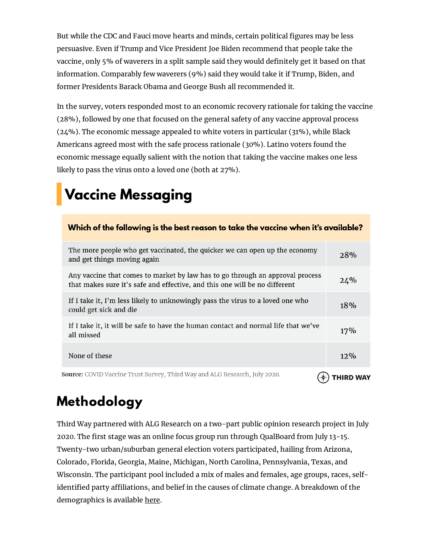But while the CDC and Fauci move hearts and minds, certain political figures may be less persuasive. Even if Trump and Vice President Joe Biden recommend that people take the vaccine, only 5% of waverers in a split sample said they would definitely get it based on that information. Comparably few waverers (9%) said they would take it if Trump, Biden, and former Presidents Barack Obama and George Bush all recommended it.

In the survey, voters responded most to an economic recovery rationale for taking the vaccine (28%), followed by one that focused on the general safety of any vaccine approval process (24%). The economic message appealed to white voters in particular (31%), while Black Americans agreed most with the safe process rationale (30%). Latino voters found the economic message equally salient with the notion that taking the vaccine makes one less likely to pass the virus onto a loved one (both at 27%).

# **Vaccine Messaging**

| Which of the following is the best reason to take the vaccine when it's available?                                                                          |                  |
|-------------------------------------------------------------------------------------------------------------------------------------------------------------|------------------|
| The more people who get vaccinated, the quicker we can open up the economy<br>and get things moving again                                                   | 28%              |
| Any vaccine that comes to market by law has to go through an approval process<br>that makes sure it's safe and effective, and this one will be no different | 24%              |
| If I take it, I'm less likely to unknowingly pass the virus to a loved one who<br>could get sick and die                                                    | 18%              |
| If I take it, it will be safe to have the human contact and normal life that we've<br>all missed                                                            | 17%              |
| None of these                                                                                                                                               | $12\%$           |
| <b>Source:</b> COVID Vaccine Trust Survey, Third Way and ALG Research, July 2020.                                                                           | <b>THIRD WAY</b> |

# **Methodology**

Third Way partnered with ALG Research on a two-part public opinion research project in July 2020. The first stage was an online focus group run through QualBoard from July 13-15. Twenty-two urban/suburban general election voters participated, hailing from Arizona, Colorado, Florida, Georgia, Maine, Michigan, North Carolina, Pennsylvania, Texas, and Wisconsin. The participant pool included a mix of males and females, age groups, races, selfidentified party affiliations, and belief in the causes of climate change. A breakdown of the demographics is available [here](https://docs.google.com/spreadsheets/d/1jh5U_ccBD4DEYpkjl9M63S6a3XlgCgi5Fs7InZ2NN2g/edit#gid=0).